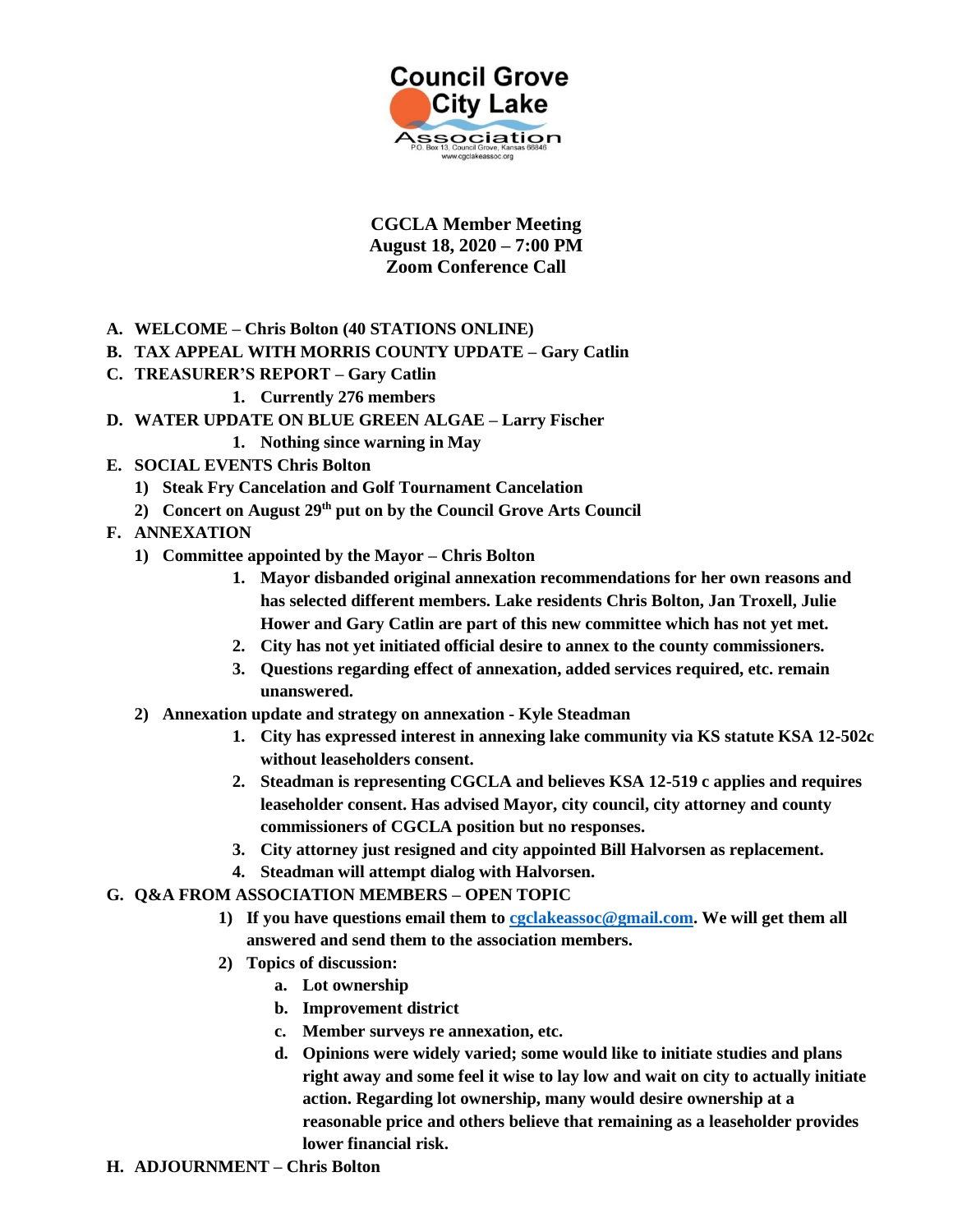

**CGCLA Member Meeting August 18, 2020 – 7:00 PM Zoom Conference Call** 

- **A. WELCOME – Chris Bolton (40 STATIONS ONLINE)**
- **B. TAX APPEAL WITH MORRIS COUNTY UPDATE – Gary Catlin**
- **C. TREASURER'S REPORT – Gary Catlin**
	- **1. Currently 276 members**
- **D. WATER UPDATE ON BLUE GREEN ALGAE – Larry Fischer**
	- **1. Nothing since warning in May**
- **E. SOCIAL EVENTS Chris Bolton**
	- **1) Steak Fry Cancelation and Golf Tournament Cancelation**
	- **2) Concert on August 29th put on by the Council Grove Arts Council**
- **F. ANNEXATION** 
	- **1) Committee appointed by the Mayor – Chris Bolton** 
		- **1. Mayor disbanded original annexation recommendations for her own reasons and has selected different members. Lake residents Chris Bolton, Jan Troxell, Julie Hower and Gary Catlin are part of this new committee which has not yet met.**
		- **2. City has not yet initiated official desire to annex to the county commissioners.**
		- **3. Questions regarding effect of annexation, added services required, etc. remain unanswered.**
	- **2) Annexation update and strategy on annexation - Kyle Steadman**
		- **1. City has expressed interest in annexing lake community via KS statute KSA 12-502c without leaseholders consent.**
		- **2. Steadman is representing CGCLA and believes KSA 12-519 c applies and requires leaseholder consent. Has advised Mayor, city council, city attorney and county commissioners of CGCLA position but no responses.**
		- **3. City attorney just resigned and city appointed Bill Halvorsen as replacement.**
		- **4. Steadman will attempt dialog with Halvorsen.**
- **G. Q&A FROM ASSOCIATION MEMBERS – OPEN TOPIC**
	- **1) If you have questions email them to [cgclakeassoc@gmail.com.](mailto:cgclakeassoc@gmail.com) We will get them all answered and send them to the association members.**
	- **2) Topics of discussion:**
		- **a. Lot ownership**
		- **b. Improvement district**
		- **c. Member surveys re annexation, etc.**
		- **d. Opinions were widely varied; some would like to initiate studies and plans right away and some feel it wise to lay low and wait on city to actually initiate action. Regarding lot ownership, many would desire ownership at a reasonable price and others believe that remaining as a leaseholder provides lower financial risk.**